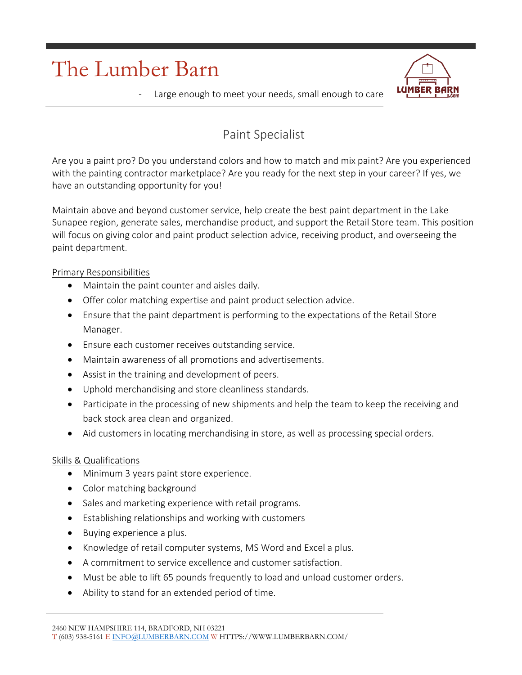## The Lumber Barn



Large enough to meet your needs, small enough to care

## Paint Specialist

Are you a paint pro? Do you understand colors and how to match and mix paint? Are you experienced with the painting contractor marketplace? Are you ready for the next step in your career? If yes, we have an outstanding opportunity for you!

Maintain above and beyond customer service, help create the best paint department in the Lake Sunapee region, generate sales, merchandise product, and support the Retail Store team. This position will focus on giving color and paint product selection advice, receiving product, and overseeing the paint department.

## Primary Responsibilities

- Maintain the paint counter and aisles daily.
- Offer color matching expertise and paint product selection advice.
- Ensure that the paint department is performing to the expectations of the Retail Store Manager.
- Ensure each customer receives outstanding service.
- Maintain awareness of all promotions and advertisements.
- Assist in the training and development of peers.
- Uphold merchandising and store cleanliness standards.
- Participate in the processing of new shipments and help the team to keep the receiving and back stock area clean and organized.
- Aid customers in locating merchandising in store, as well as processing special orders.

## Skills & Qualifications

- Minimum 3 years paint store experience.
- Color matching background
- Sales and marketing experience with retail programs.
- Establishing relationships and working with customers
- Buying experience a plus.
- Knowledge of retail computer systems, MS Word and Excel a plus.
- A commitment to service excellence and customer satisfaction.
- Must be able to lift 65 pounds frequently to load and unload customer orders.
- Ability to stand for an extended period of time.